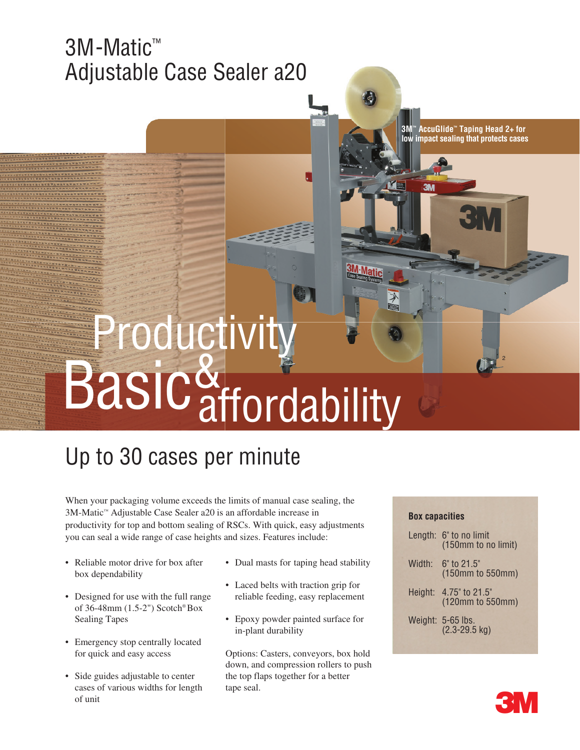# 3M-Matic™ Adjustable Case Sealer a20

**3M™ AccuGlide™ Taping Head 2+ for low impact sealing that protects cases**

2

# Productivity<br>Basic&<br>Maffordability

# Up to 30 cases per minute

When your packaging volume exceeds the limits of manual case sealing, the 3M-Matic™ Adjustable Case Sealer a20 is an affordable increase in productivity for top and bottom sealing of RSCs. With quick, easy adjustments you can seal a wide range of case heights and sizes. Features include:

• Reliable motor drive for box after box dependability

1

- Designed for use with the full range of 36-48mm (1.5-2") Scotch® Box Sealing Tapes
- Emergency stop centrally located for quick and easy access
- Side guides adjustable to center cases of various widths for length of unit
- Dual masts for taping head stability
- Laced belts with traction grip for reliable feeding, easy replacement
- Epoxy powder painted surface for in-plant durability

Options: Casters, conveyors, box hold down, and compression rollers to push the top flaps together for a better tape seal.

## **Box capacities**

|        | Length: 6" to no limit<br>(150mm to no limit) |
|--------|-----------------------------------------------|
| Width: | $6"$ to 21.5"<br>(150mm to 550mm)             |
|        | Height: 4.75" to 21.5"<br>(120mm to 550mm)    |
|        | Weight: 5-65 lbs.<br>$(2.3 - 29.5$ kg)        |
|        |                                               |